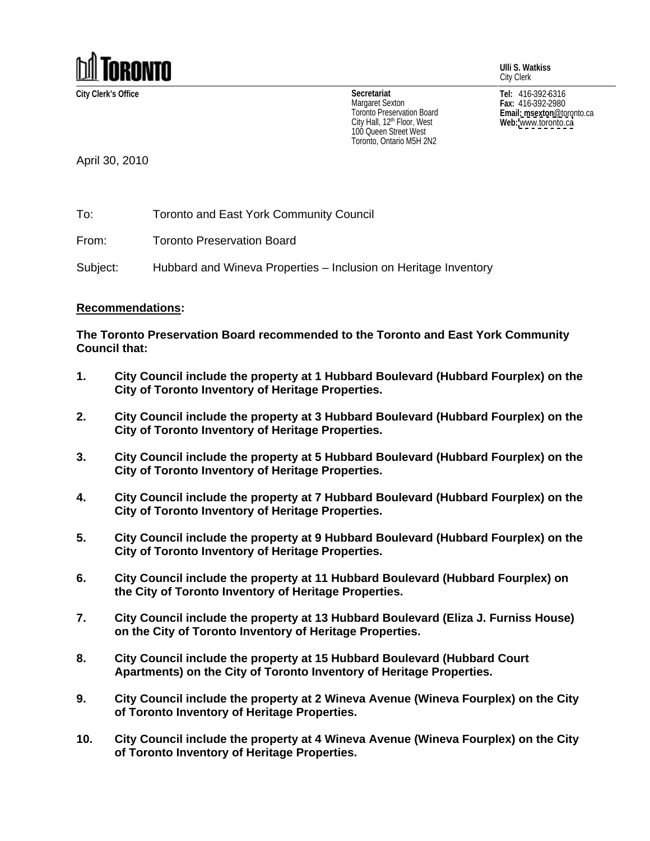

**Ulli S. Watkiss** City Clerk

City Hall, 12<sup>th</sup> Floor, West **Web:** www.toronto.ca 100 Queen Street West Toronto, Ontario M5H 2N2

**City Clerk's Office Tel:** 416-392-6316 **Fax:** 416-392-2980 **Email: msexton**@toronto.ca **Web:** [www.toronto.ca](http://www.toronto.ca) **Secretariat** Margaret Sexton  $_{max:416-392-2980}$ I oronto Preservation Board **Example 2018 Email: msexton** @toronto.ca

April 30, 2010

To: Toronto and East York Community Council

From: Toronto Preservation Board

Subject: Hubbard and Wineva Properties – Inclusion on Heritage Inventory

## **Recommendations:**

**The Toronto Preservation Board recommended to the Toronto and East York Community Council that:**

- **1. City Council include the property at 1 Hubbard Boulevard (Hubbard Fourplex) on the City of Toronto Inventory of Heritage Properties.**
- **2. City Council include the property at 3 Hubbard Boulevard (Hubbard Fourplex) on the City of Toronto Inventory of Heritage Properties.**
- **3. City Council include the property at 5 Hubbard Boulevard (Hubbard Fourplex) on the City of Toronto Inventory of Heritage Properties.**
- **4. City Council include the property at 7 Hubbard Boulevard (Hubbard Fourplex) on the City of Toronto Inventory of Heritage Properties.**
- **5. City Council include the property at 9 Hubbard Boulevard (Hubbard Fourplex) on the City of Toronto Inventory of Heritage Properties.**
- **6. City Council include the property at 11 Hubbard Boulevard (Hubbard Fourplex) on the City of Toronto Inventory of Heritage Properties.**
- **7. City Council include the property at 13 Hubbard Boulevard (Eliza J. Furniss House) on the City of Toronto Inventory of Heritage Properties.**
- **8. City Council include the property at 15 Hubbard Boulevard (Hubbard Court Apartments) on the City of Toronto Inventory of Heritage Properties.**
- **9. City Council include the property at 2 Wineva Avenue (Wineva Fourplex) on the City of Toronto Inventory of Heritage Properties.**
- **10. City Council include the property at 4 Wineva Avenue (Wineva Fourplex) on the City of Toronto Inventory of Heritage Properties.**